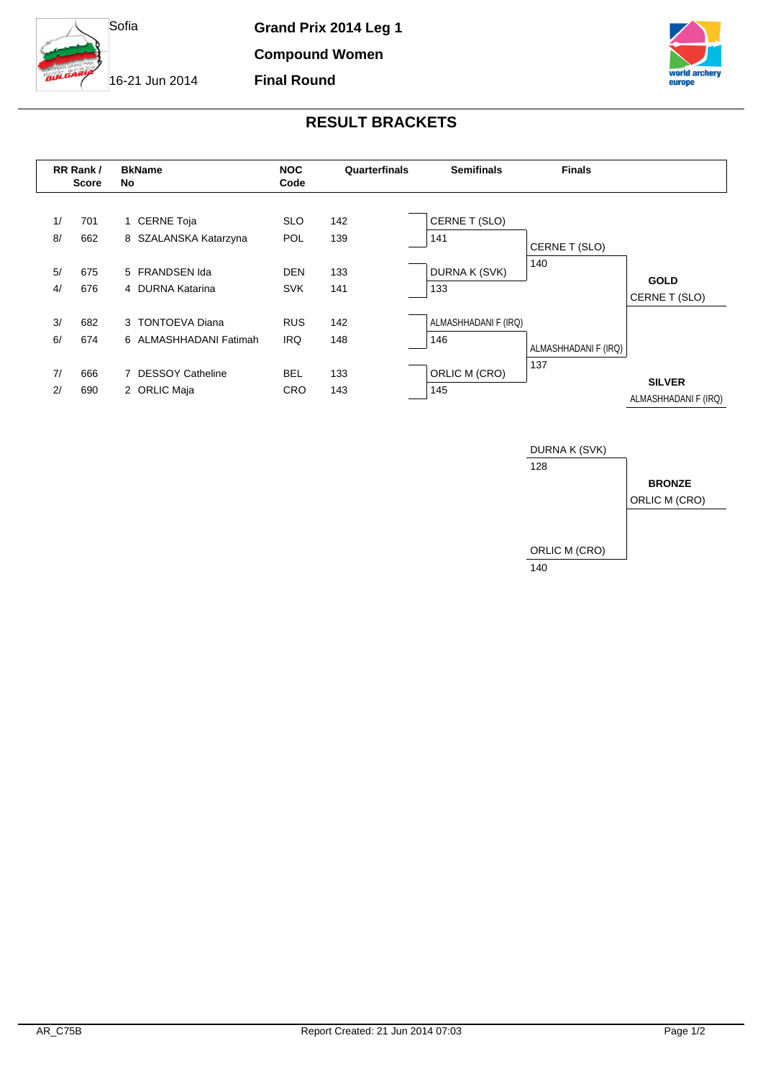

**Grand Prix 2014 Leg 1**

**Compound Women**

**Final Round**

16-21 Jun 2014



## **RESULT BRACKETS**